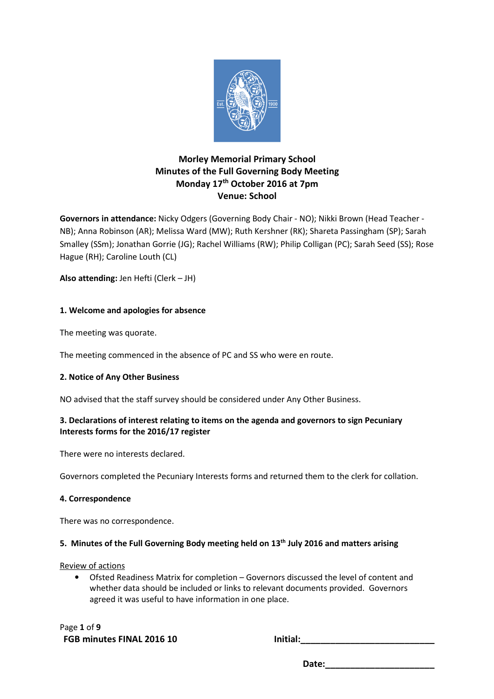

# **Morley Memorial Primary School Minutes of the Full Governing Body Meeting Monday 17th October 2016 at 7pm Venue: School**

**Governors in attendance:** Nicky Odgers (Governing Body Chair - NO); Nikki Brown (Head Teacher - NB); Anna Robinson (AR); Melissa Ward (MW); Ruth Kershner (RK); Shareta Passingham (SP); Sarah Smalley (SSm); Jonathan Gorrie (JG); Rachel Williams (RW); Philip Colligan (PC); Sarah Seed (SS); Rose Hague (RH); Caroline Louth (CL)

**Also attending:** Jen Hefti (Clerk – JH)

# **1. Welcome and apologies for absence**

The meeting was quorate.

The meeting commenced in the absence of PC and SS who were en route.

# **2. Notice of Any Other Business**

NO advised that the staff survey should be considered under Any Other Business.

# **3. Declarations of interest relating to items on the agenda and governors to sign Pecuniary Interests forms for the 2016/17 register**

There were no interests declared.

Governors completed the Pecuniary Interests forms and returned them to the clerk for collation.

## **4. Correspondence**

There was no correspondence.

# **5. Minutes of the Full Governing Body meeting held on 13th July 2016 and matters arising**

Review of actions

• Ofsted Readiness Matrix for completion – Governors discussed the level of content and whether data should be included or links to relevant documents provided. Governors agreed it was useful to have information in one place.

Page **1** of **9** FGB minutes FINAL 2016 10 **Initial:**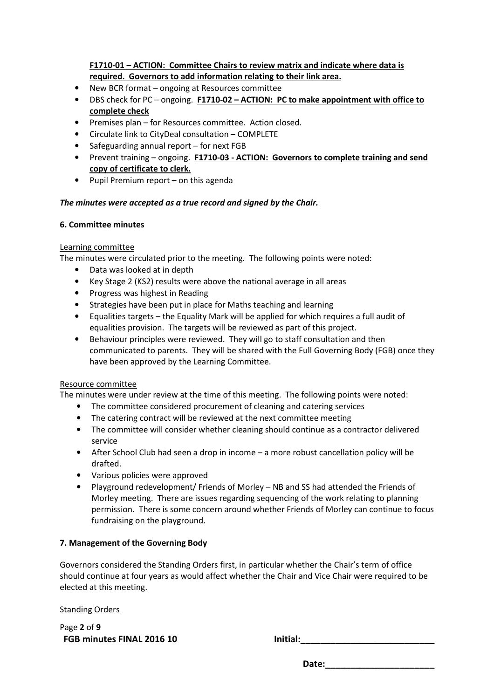**F1710-01 – ACTION: Committee Chairs to review matrix and indicate where data is required. Governors to add information relating to their link area.** 

- New BCR format ongoing at Resources committee
- DBS check for PC ongoing. **F1710-02 ACTION: PC to make appointment with office to complete check**
- Premises plan for Resources committee. Action closed.
- Circulate link to CityDeal consultation COMPLETE
- Safeguarding annual report for next FGB
- Prevent training ongoing. **F1710-03 ACTION: Governors to complete training and send copy of certificate to clerk.**
- Pupil Premium report on this agenda

# *The minutes were accepted as a true record and signed by the Chair.*

# **6. Committee minutes**

# Learning committee

The minutes were circulated prior to the meeting. The following points were noted:

- Data was looked at in depth
- Key Stage 2 (KS2) results were above the national average in all areas
- Progress was highest in Reading
- Strategies have been put in place for Maths teaching and learning
- Equalities targets the Equality Mark will be applied for which requires a full audit of equalities provision. The targets will be reviewed as part of this project.
- Behaviour principles were reviewed. They will go to staff consultation and then communicated to parents. They will be shared with the Full Governing Body (FGB) once they have been approved by the Learning Committee.

# Resource committee

The minutes were under review at the time of this meeting. The following points were noted:

- The committee considered procurement of cleaning and catering services
- The catering contract will be reviewed at the next committee meeting
- The committee will consider whether cleaning should continue as a contractor delivered service
- After School Club had seen a drop in income a more robust cancellation policy will be drafted.
- Various policies were approved
- Playground redevelopment/ Friends of Morley NB and SS had attended the Friends of Morley meeting. There are issues regarding sequencing of the work relating to planning permission. There is some concern around whether Friends of Morley can continue to focus fundraising on the playground.

# **7. Management of the Governing Body**

Governors considered the Standing Orders first, in particular whether the Chair's term of office should continue at four years as would affect whether the Chair and Vice Chair were required to be elected at this meeting.

Standing Orders

Page **2** of **9 FGB minutes FINAL 2016 10 Initial:\_\_\_\_\_\_\_\_\_\_\_\_\_\_\_\_\_\_\_\_\_\_\_\_\_\_\_**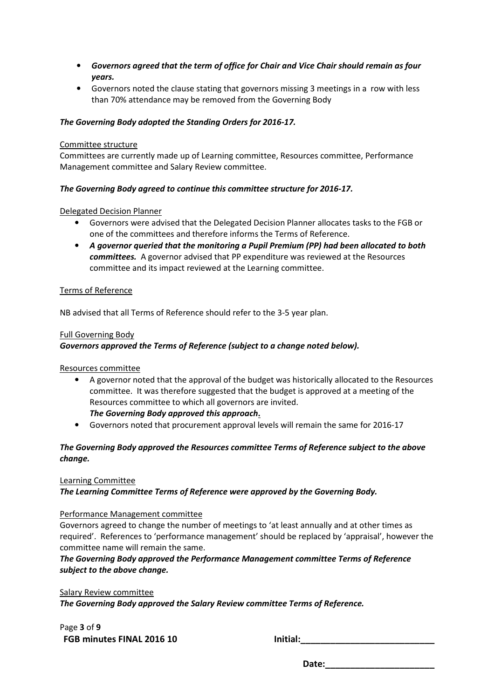- *Governors agreed that the term of office for Chair and Vice Chair should remain as four years.*
- Governors noted the clause stating that governors missing 3 meetings in a row with less than 70% attendance may be removed from the Governing Body

# *The Governing Body adopted the Standing Orders for 2016-17.*

#### Committee structure

Committees are currently made up of Learning committee, Resources committee, Performance Management committee and Salary Review committee.

# *The Governing Body agreed to continue this committee structure for 2016-17.*

## Delegated Decision Planner

- Governors were advised that the Delegated Decision Planner allocates tasks to the FGB or one of the committees and therefore informs the Terms of Reference.
- *A governor queried that the monitoring a Pupil Premium (PP) had been allocated to both committees.* A governor advised that PP expenditure was reviewed at the Resources committee and its impact reviewed at the Learning committee.

## Terms of Reference

NB advised that all Terms of Reference should refer to the 3-5 year plan.

#### Full Governing Body

# *Governors approved the Terms of Reference (subject to a change noted below).*

## Resources committee

- A governor noted that the approval of the budget was historically allocated to the Resources committee. It was therefore suggested that the budget is approved at a meeting of the Resources committee to which all governors are invited. *The Governing Body approved this approach***.**
- Governors noted that procurement approval levels will remain the same for 2016-17

# *The Governing Body approved the Resources committee Terms of Reference subject to the above change.*

## Learning Committee

*The Learning Committee Terms of Reference were approved by the Governing Body.* 

#### Performance Management committee

Governors agreed to change the number of meetings to 'at least annually and at other times as required'. References to 'performance management' should be replaced by 'appraisal', however the committee name will remain the same.

# *The Governing Body approved the Performance Management committee Terms of Reference subject to the above change.*

Salary Review committee *The Governing Body approved the Salary Review committee Terms of Reference.* 

Page **3** of **9** FGB minutes FINAL 2016 10 **Initial:**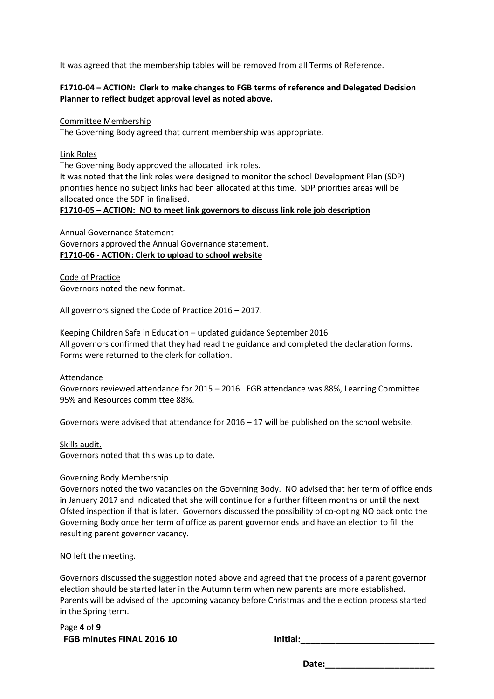It was agreed that the membership tables will be removed from all Terms of Reference.

# **F1710-04 – ACTION: Clerk to make changes to FGB terms of reference and Delegated Decision Planner to reflect budget approval level as noted above.**

Committee Membership

The Governing Body agreed that current membership was appropriate.

#### Link Roles

The Governing Body approved the allocated link roles.

It was noted that the link roles were designed to monitor the school Development Plan (SDP) priorities hence no subject links had been allocated at this time. SDP priorities areas will be allocated once the SDP in finalised.

## **F1710-05 – ACTION: NO to meet link governors to discuss link role job description**

Annual Governance Statement Governors approved the Annual Governance statement. **F1710-06 - ACTION: Clerk to upload to school website** 

Code of Practice Governors noted the new format.

All governors signed the Code of Practice 2016 – 2017.

Keeping Children Safe in Education – updated guidance September 2016 All governors confirmed that they had read the guidance and completed the declaration forms. Forms were returned to the clerk for collation.

#### Attendance

Governors reviewed attendance for 2015 – 2016. FGB attendance was 88%, Learning Committee 95% and Resources committee 88%.

Governors were advised that attendance for 2016 – 17 will be published on the school website.

Skills audit.

Governors noted that this was up to date.

## Governing Body Membership

Governors noted the two vacancies on the Governing Body. NO advised that her term of office ends in January 2017 and indicated that she will continue for a further fifteen months or until the next Ofsted inspection if that is later. Governors discussed the possibility of co-opting NO back onto the Governing Body once her term of office as parent governor ends and have an election to fill the resulting parent governor vacancy.

NO left the meeting.

Governors discussed the suggestion noted above and agreed that the process of a parent governor election should be started later in the Autumn term when new parents are more established. Parents will be advised of the upcoming vacancy before Christmas and the election process started in the Spring term.

Page **4** of **9 FGB minutes FINAL 2016 10 Initial:\_\_\_\_\_\_\_\_\_\_\_\_\_\_\_\_\_\_\_\_\_\_\_\_\_\_\_**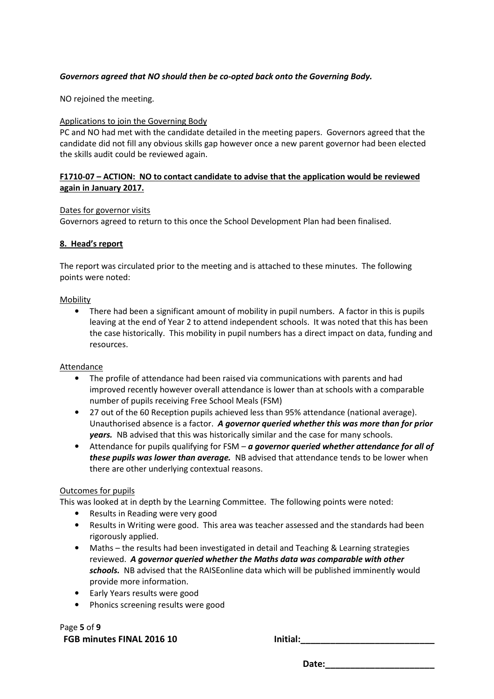# *Governors agreed that NO should then be co-opted back onto the Governing Body.*

NO rejoined the meeting.

## Applications to join the Governing Body

PC and NO had met with the candidate detailed in the meeting papers. Governors agreed that the candidate did not fill any obvious skills gap however once a new parent governor had been elected the skills audit could be reviewed again.

# **F1710-07 – ACTION: NO to contact candidate to advise that the application would be reviewed again in January 2017.**

## Dates for governor visits

Governors agreed to return to this once the School Development Plan had been finalised.

## **8. Head's report**

The report was circulated prior to the meeting and is attached to these minutes. The following points were noted:

## Mobility

• There had been a significant amount of mobility in pupil numbers. A factor in this is pupils leaving at the end of Year 2 to attend independent schools. It was noted that this has been the case historically. This mobility in pupil numbers has a direct impact on data, funding and resources.

## Attendance

- The profile of attendance had been raised via communications with parents and had improved recently however overall attendance is lower than at schools with a comparable number of pupils receiving Free School Meals (FSM)
- 27 out of the 60 Reception pupils achieved less than 95% attendance (national average). Unauthorised absence is a factor. *A governor queried whether this was more than for prior years.* NB advised that this was historically similar and the case for many schools.
- Attendance for pupils qualifying for FSM *a governor queried whether attendance for all of these pupils was lower than average.* NB advised that attendance tends to be lower when there are other underlying contextual reasons.

## Outcomes for pupils

This was looked at in depth by the Learning Committee. The following points were noted:

- Results in Reading were very good
- Results in Writing were good. This area was teacher assessed and the standards had been rigorously applied.
- Maths the results had been investigated in detail and Teaching & Learning strategies reviewed. *A governor queried whether the Maths data was comparable with other schools.* NB advised that the RAISEonline data which will be published imminently would provide more information.
- Early Years results were good
- Phonics screening results were good

Page **5** of **9** FGB minutes FINAL 2016 10 **Initial:**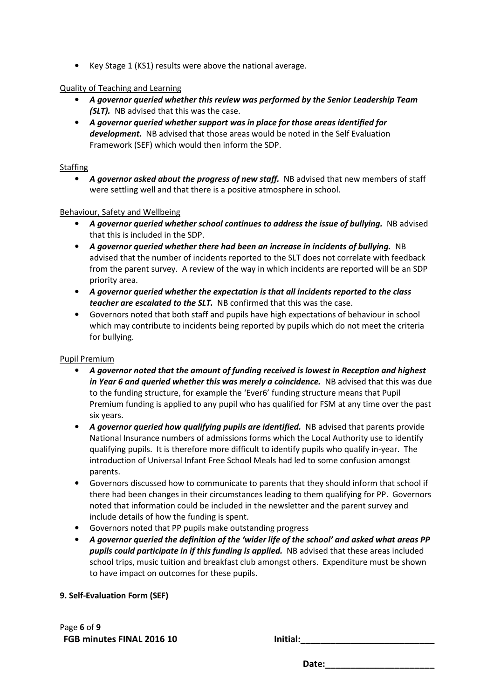• Key Stage 1 (KS1) results were above the national average.

## Quality of Teaching and Learning

- *A governor queried whether this review was performed by the Senior Leadership Team (SLT).* NB advised that this was the case.
- *A governor queried whether support was in place for those areas identified for development.* NB advised that those areas would be noted in the Self Evaluation Framework (SEF) which would then inform the SDP.

## **Staffing**

• A *governor asked about the progress of new staff.* NB advised that new members of staff were settling well and that there is a positive atmosphere in school.

# Behaviour, Safety and Wellbeing

- *A governor queried whether school continues to address the issue of bullying.* NB advised that this is included in the SDP.
- *A governor queried whether there had been an increase in incidents of bullying.* NB advised that the number of incidents reported to the SLT does not correlate with feedback from the parent survey. A review of the way in which incidents are reported will be an SDP priority area.
- *A governor queried whether the expectation is that all incidents reported to the class teacher are escalated to the SLT.* NB confirmed that this was the case.
- Governors noted that both staff and pupils have high expectations of behaviour in school which may contribute to incidents being reported by pupils which do not meet the criteria for bullying.

# Pupil Premium

- *A governor noted that the amount of funding received is lowest in Reception and highest in Year 6 and queried whether this was merely a coincidence.* NB advised that this was due to the funding structure, for example the 'Ever6' funding structure means that Pupil Premium funding is applied to any pupil who has qualified for FSM at any time over the past six years.
- *A governor queried how qualifying pupils are identified.* NB advised that parents provide National Insurance numbers of admissions forms which the Local Authority use to identify qualifying pupils. It is therefore more difficult to identify pupils who qualify in-year. The introduction of Universal Infant Free School Meals had led to some confusion amongst parents.
- Governors discussed how to communicate to parents that they should inform that school if there had been changes in their circumstances leading to them qualifying for PP. Governors noted that information could be included in the newsletter and the parent survey and include details of how the funding is spent.
- Governors noted that PP pupils make outstanding progress
- *A governor queried the definition of the 'wider life of the school' and asked what areas PP pupils could participate in if this funding is applied.* NB advised that these areas included school trips, music tuition and breakfast club amongst others. Expenditure must be shown to have impact on outcomes for these pupils.

# **9. Self-Evaluation Form (SEF)**

Page **6** of **9** FGB minutes FINAL 2016 10 **Initial:**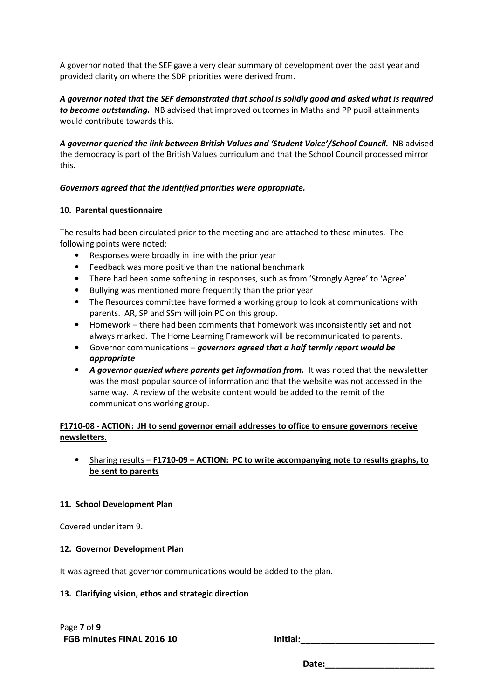A governor noted that the SEF gave a very clear summary of development over the past year and provided clarity on where the SDP priorities were derived from.

*A governor noted that the SEF demonstrated that school is solidly good and asked what is required to become outstanding.* NB advised that improved outcomes in Maths and PP pupil attainments would contribute towards this.

*A governor queried the link between British Values and 'Student Voice'/School Council.* NB advised the democracy is part of the British Values curriculum and that the School Council processed mirror this.

# *Governors agreed that the identified priorities were appropriate.*

# **10. Parental questionnaire**

The results had been circulated prior to the meeting and are attached to these minutes. The following points were noted:

- Responses were broadly in line with the prior year
- Feedback was more positive than the national benchmark
- There had been some softening in responses, such as from 'Strongly Agree' to 'Agree'
- Bullying was mentioned more frequently than the prior year
- The Resources committee have formed a working group to look at communications with parents. AR, SP and SSm will join PC on this group.
- Homework there had been comments that homework was inconsistently set and not always marked. The Home Learning Framework will be recommunicated to parents.
- Governor communications *governors agreed that a half termly report would be appropriate*
- A governor queried where parents get information from. It was noted that the newsletter was the most popular source of information and that the website was not accessed in the same way. A review of the website content would be added to the remit of the communications working group.

# **F1710-08 - ACTION: JH to send governor email addresses to office to ensure governors receive newsletters.**

# • Sharing results – **F1710-09 – ACTION: PC to write accompanying note to results graphs, to be sent to parents**

## **11. School Development Plan**

Covered under item 9.

## **12. Governor Development Plan**

It was agreed that governor communications would be added to the plan.

## **13. Clarifying vision, ethos and strategic direction**

Page **7** of **9** FGB minutes FINAL 2016 10 **Initial:**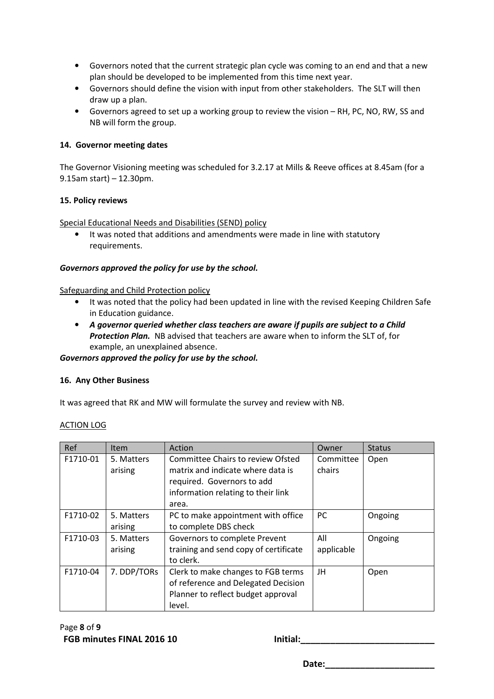- Governors noted that the current strategic plan cycle was coming to an end and that a new plan should be developed to be implemented from this time next year.
- Governors should define the vision with input from other stakeholders. The SLT will then draw up a plan.
- Governors agreed to set up a working group to review the vision RH, PC, NO, RW, SS and NB will form the group.

# **14. Governor meeting dates**

The Governor Visioning meeting was scheduled for 3.2.17 at Mills & Reeve offices at 8.45am (for a 9.15am start) – 12.30pm.

## **15. Policy reviews**

Special Educational Needs and Disabilities (SEND) policy

• It was noted that additions and amendments were made in line with statutory requirements.

# *Governors approved the policy for use by the school.*

Safeguarding and Child Protection policy

- It was noted that the policy had been updated in line with the revised Keeping Children Safe in Education guidance.
- *A governor queried whether class teachers are aware if pupils are subject to a Child Protection Plan.* NB advised that teachers are aware when to inform the SLT of, for example, an unexplained absence.

*Governors approved the policy for use by the school.* 

## **16. Any Other Business**

It was agreed that RK and MW will formulate the survey and review with NB.

| ACTION LOG |
|------------|
|------------|

| Ref      | <b>Item</b>           | Action                                                                                                                                              | Owner               | <b>Status</b> |
|----------|-----------------------|-----------------------------------------------------------------------------------------------------------------------------------------------------|---------------------|---------------|
| F1710-01 | 5. Matters<br>arising | Committee Chairs to review Ofsted<br>matrix and indicate where data is<br>required. Governors to add<br>information relating to their link<br>area. | Committee<br>chairs | Open          |
| F1710-02 | 5. Matters<br>arising | PC to make appointment with office<br>to complete DBS check                                                                                         | <b>PC</b>           | Ongoing       |
| F1710-03 | 5. Matters<br>arising | Governors to complete Prevent<br>training and send copy of certificate<br>to clerk.                                                                 | All<br>applicable   | Ongoing       |
| F1710-04 | 7. DDP/TORs           | Clerk to make changes to FGB terms<br>of reference and Delegated Decision<br>Planner to reflect budget approval<br>level.                           | JH                  | Open          |